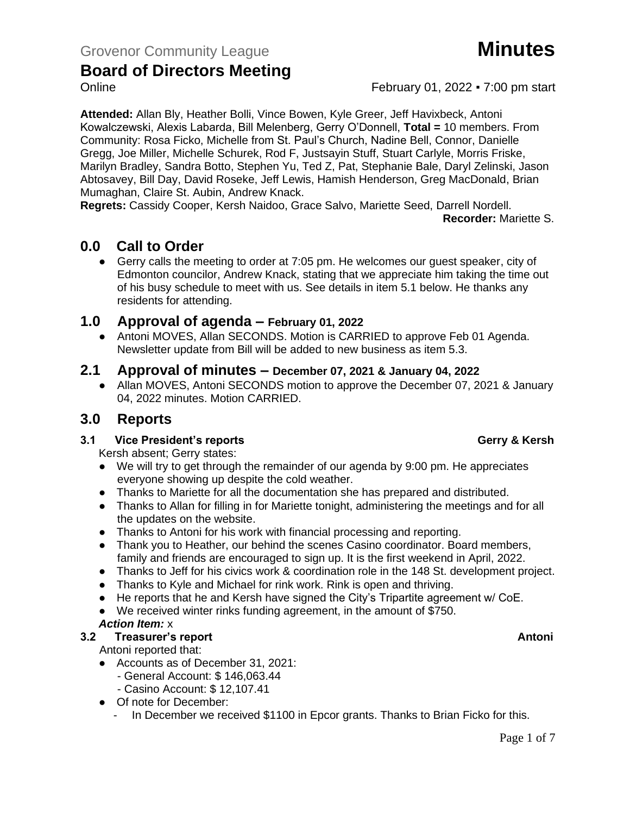### **Board of Directors Meeting** Online **February 01, 2022 • 7:00 pm start**

**Attended:** Allan Bly, Heather Bolli, Vince Bowen, Kyle Greer, Jeff Havixbeck, Antoni Kowalczewski, Alexis Labarda, Bill Melenberg, Gerry O'Donnell, **Total =** 10 members. From Community: Rosa Ficko, Michelle from St. Paul's Church, Nadine Bell, Connor, Danielle Gregg, Joe Miller, Michelle Schurek, Rod F, Justsayin Stuff, Stuart Carlyle, Morris Friske, Marilyn Bradley, Sandra Botto, Stephen Yu, Ted Z, Pat, Stephanie Bale, Daryl Zelinski, Jason Abtosavey, Bill Day, David Roseke, Jeff Lewis, Hamish Henderson, Greg MacDonald, Brian Mumaghan, Claire St. Aubin, Andrew Knack.

**Regrets:** Cassidy Cooper, Kersh Naidoo, Grace Salvo, Mariette Seed, Darrell Nordell.

**Recorder:** Mariette S.

## **0.0 Call to Order**

● Gerry calls the meeting to order at 7:05 pm. He welcomes our guest speaker, city of Edmonton councilor, Andrew Knack, stating that we appreciate him taking the time out of his busy schedule to meet with us. See details in item 5.1 below. He thanks any residents for attending.

### **1.0 Approval of agenda – February 01, 2022**

● Antoni MOVES, Allan SECONDS. Motion is CARRIED to approve Feb 01 Agenda. Newsletter update from Bill will be added to new business as item 5.3.

### **2.1 Approval of minutes – December 07, 2021 & January 04, 2022**

● Allan MOVES, Antoni SECONDS motion to approve the December 07, 2021 & January 04, 2022 minutes. Motion CARRIED.

# **3.0 Reports**

### **3.1 Vice President's reports Gerry & Kersh**

Kersh absent; Gerry states:

- We will try to get through the remainder of our agenda by 9:00 pm. He appreciates everyone showing up despite the cold weather.
- Thanks to Mariette for all the documentation she has prepared and distributed.
- Thanks to Allan for filling in for Mariette tonight, administering the meetings and for all the updates on the website.
- Thanks to Antoni for his work with financial processing and reporting.
- Thank you to Heather, our behind the scenes Casino coordinator. Board members, family and friends are encouraged to sign up. It is the first weekend in April, 2022.
- Thanks to Jeff for his civics work & coordination role in the 148 St. development project.
- Thanks to Kyle and Michael for rink work. Rink is open and thriving.
- He reports that he and Kersh have signed the City's Tripartite agreement w/ CoE.
- We received winter rinks funding agreement, in the amount of \$750.

### *Action Item:* x

### **3.2 Freasurer's report Antonic Structure Antonic Structure Antonic Antonic Antonic Antonic Antonic Antonic Antoni**

Antoni reported that:

- Accounts as of December 31, 2021:
	- General Account: \$ 146,063.44
	- Casino Account: \$ 12,107.41
- Of note for December:
	- In December we received \$1100 in Epcor grants. Thanks to Brian Ficko for this.

Page 1 of 7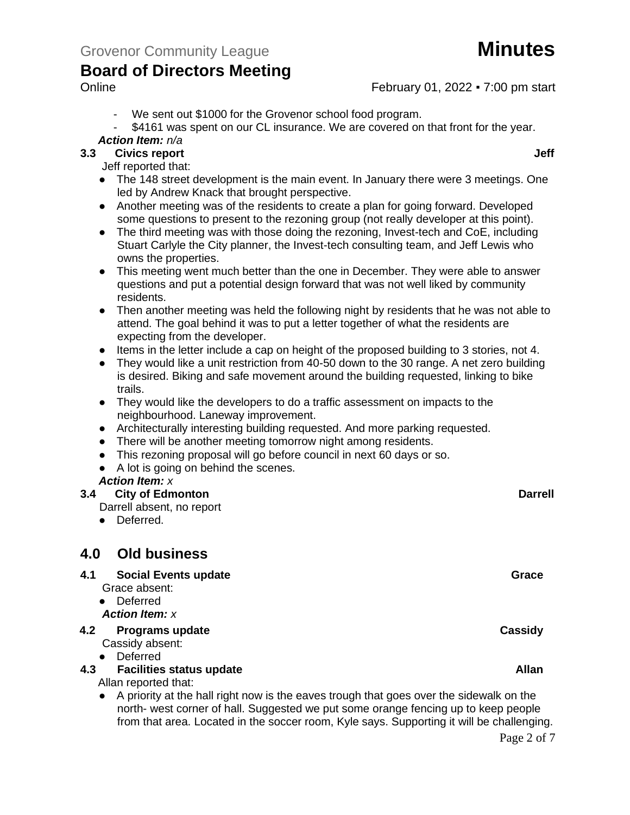### Online **February 01, 2022 • 7:00 pm start**

- We sent out \$1000 for the Grovenor school food program.
- \$4161 was spent on our CL insurance. We are covered on that front for the year. *Action Item: n/a*

## **3.3 Civics report Jeff**

Jeff reported that:

- The 148 street development is the main event. In January there were 3 meetings. One led by Andrew Knack that brought perspective.
- Another meeting was of the residents to create a plan for going forward. Developed some questions to present to the rezoning group (not really developer at this point).
- The third meeting was with those doing the rezoning, Invest-tech and CoE, including Stuart Carlyle the City planner, the Invest-tech consulting team, and Jeff Lewis who owns the properties.
- This meeting went much better than the one in December. They were able to answer questions and put a potential design forward that was not well liked by community residents.
- Then another meeting was held the following night by residents that he was not able to attend. The goal behind it was to put a letter together of what the residents are expecting from the developer.
- Items in the letter include a cap on height of the proposed building to 3 stories, not 4.
- They would like a unit restriction from 40-50 down to the 30 range. A net zero building is desired. Biking and safe movement around the building requested, linking to bike trails.
- They would like the developers to do a traffic assessment on impacts to the neighbourhood. Laneway improvement.
- Architecturally interesting building requested. And more parking requested.
- There will be another meeting tomorrow night among residents.
- This rezoning proposal will go before council in next 60 days or so.
- A lot is going on behind the scenes.

### *Action Item: x*

## **3.4 City of Edmonton Darrell**

- Darrell absent, no report
- Deferred.

# **4.0 Old business**

#### **4.1** Social Events update Grace Grace Grace Grace Grace Grace Grace Grace Grace Grace Grace Grace Grace Grace Grace Grace Grace Grace Grace Grace Grace Grace Grace Grace Grace Grace Grace Grace Grace Grace Grace Grace Gra Grace absent: ● Deferred *Action Item: x* **4.2 Programs update Cassidy** Cassidy absent: ● Deferred **4.3 4.3 Facilities status update Allan** Allan reported that: ● A priority at the hall right now is the eaves trough that goes over the sidewalk on the north- west corner of hall. Suggested we put some orange fencing up to keep people

from that area. Located in the soccer room, Kyle says. Supporting it will be challenging.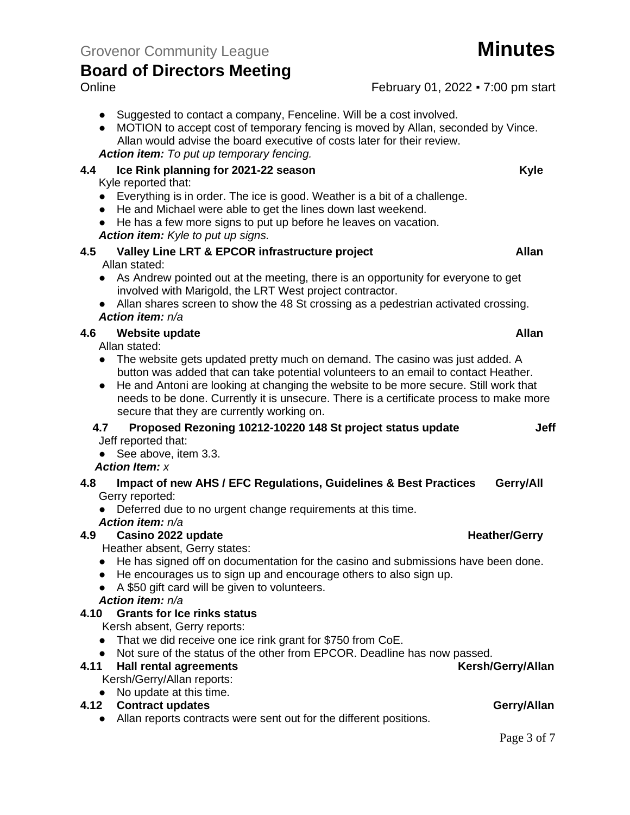- Suggested to contact a company, Fenceline. Will be a cost involved.
- MOTION to accept cost of temporary fencing is moved by Allan, seconded by Vince. Allan would advise the board executive of costs later for their review. *Action item: To put up temporary fencing.*

### **4.4 Ice Rink planning for 2021-22 season Kyle**

Kyle reported that:

- Everything is in order. The ice is good. Weather is a bit of a challenge.
- He and Michael were able to get the lines down last weekend.
- He has a few more signs to put up before he leaves on vacation.
- *Action item: Kyle to put up signs.*

#### **4.5 Valley Line LRT & EPCOR infrastructure project Allan** Allan stated:

- As Andrew pointed out at the meeting, there is an opportunity for everyone to get involved with Marigold, the LRT West project contractor.
- Allan shares screen to show the 48 St crossing as a pedestrian activated crossing. *Action item: n/a*

### **4.6 Website update Allan**

Allan stated:

- The website gets updated pretty much on demand. The casino was just added. A button was added that can take potential volunteers to an email to contact Heather.
- He and Antoni are looking at changing the website to be more secure. Still work that needs to be done. Currently it is unsecure. There is a certificate process to make more secure that they are currently working on.

#### **4.7 Proposed Rezoning 10212-10220 148 St project status update Jeff** Jeff reported that:

● See above, item 3.3.

### *Action Item: x*

- **4.8 Impact of new AHS / EFC Regulations, Guidelines & Best Practices Gerry/All** Gerry reported:
	- Deferred due to no urgent change requirements at this time.

*Action item: n/a*

**4.9 Casino 2022 update Heather/Gerry Heather/Gerry** Heather absent, Gerry states:

● He has signed off on documentation for the casino and submissions have been done.

● He encourages us to sign up and encourage others to also sign up.

● A \$50 gift card will be given to volunteers.

### *Action item: n/a*

### **4.10 Grants for Ice rinks status**

Kersh absent, Gerry reports:

- That we did receive one ice rink grant for \$750 from CoE.
- Not sure of the status of the other from EPCOR. Deadline has now passed.<br> **Ball rental agreements** (Kersh/Gerry/Allan

### **4.11 • Hall rental agreements**

Kersh/Gerry/Allan reports:

# ● No update at this time.

- **4.12 Contract updates Gerry/Allan**
	- Allan reports contracts were sent out for the different positions.

Online **February 01, 2022 • 7:00 pm start**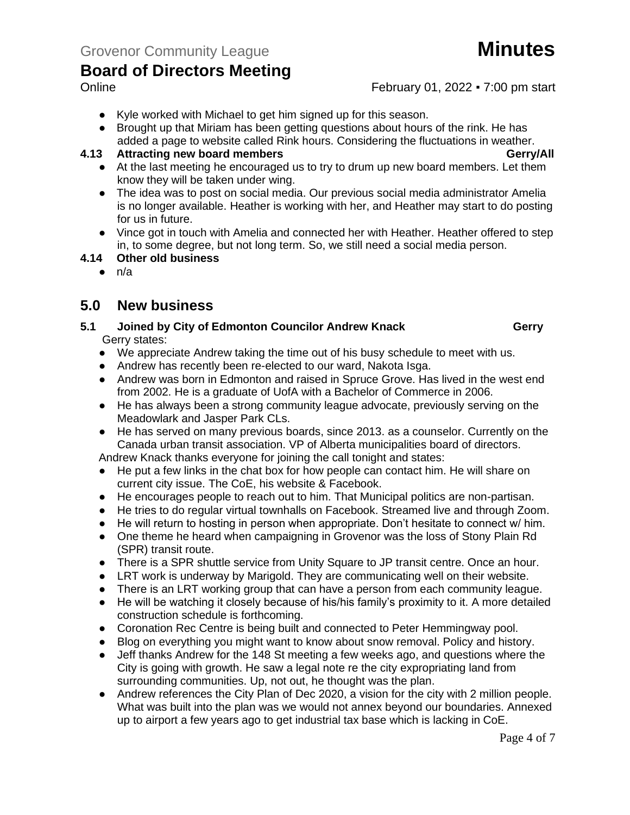## Online **February 01, 2022 • 7:00 pm start**

- Kyle worked with Michael to get him signed up for this season.
- Brought up that Miriam has been getting questions about hours of the rink. He has added a page to website called Rink hours. Considering the fluctuations in weather.

#### **4.13 Attracting new board members Gerry/All**

- At the last meeting he encouraged us to try to drum up new board members. Let them know they will be taken under wing.
- The idea was to post on social media. Our previous social media administrator Amelia is no longer available. Heather is working with her, and Heather may start to do posting for us in future.
- Vince got in touch with Amelia and connected her with Heather. Heather offered to step in, to some degree, but not long term. So, we still need a social media person.

#### **4.14 Other old business**

 $\bullet$  n/a

## **5.0 New business**

- **5.1 Joined by City of Edmonton Councilor Andrew Knack <b>Gerry** Gerry states:
	- We appreciate Andrew taking the time out of his busy schedule to meet with us.
	- Andrew has recently been re-elected to our ward, Nakota Isga.
	- Andrew was born in Edmonton and raised in Spruce Grove. Has lived in the west end from 2002. He is a graduate of UofA with a Bachelor of Commerce in 2006.
	- He has always been a strong community league advocate, previously serving on the Meadowlark and Jasper Park CLs.
	- He has served on many previous boards, since 2013, as a counselor. Currently on the Canada urban transit association. VP of Alberta municipalities board of directors.

Andrew Knack thanks everyone for joining the call tonight and states:

- He put a few links in the chat box for how people can contact him. He will share on current city issue. The CoE, his website & Facebook.
- He encourages people to reach out to him. That Municipal politics are non-partisan.
- He tries to do regular virtual townhalls on Facebook. Streamed live and through Zoom.
- He will return to hosting in person when appropriate. Don't hesitate to connect w/ him.
- One theme he heard when campaigning in Grovenor was the loss of Stony Plain Rd (SPR) transit route.
- There is a SPR shuttle service from Unity Square to JP transit centre. Once an hour.
- LRT work is underway by Marigold. They are communicating well on their website.
- There is an LRT working group that can have a person from each community league.
- He will be watching it closely because of his/his family's proximity to it. A more detailed construction schedule is forthcoming.
- Coronation Rec Centre is being built and connected to Peter Hemmingway pool.
- Blog on everything you might want to know about snow removal. Policy and history.
- Jeff thanks Andrew for the 148 St meeting a few weeks ago, and questions where the City is going with growth. He saw a legal note re the city expropriating land from surrounding communities. Up, not out, he thought was the plan.
- Andrew references the City Plan of Dec 2020, a vision for the city with 2 million people. What was built into the plan was we would not annex beyond our boundaries. Annexed up to airport a few years ago to get industrial tax base which is lacking in CoE.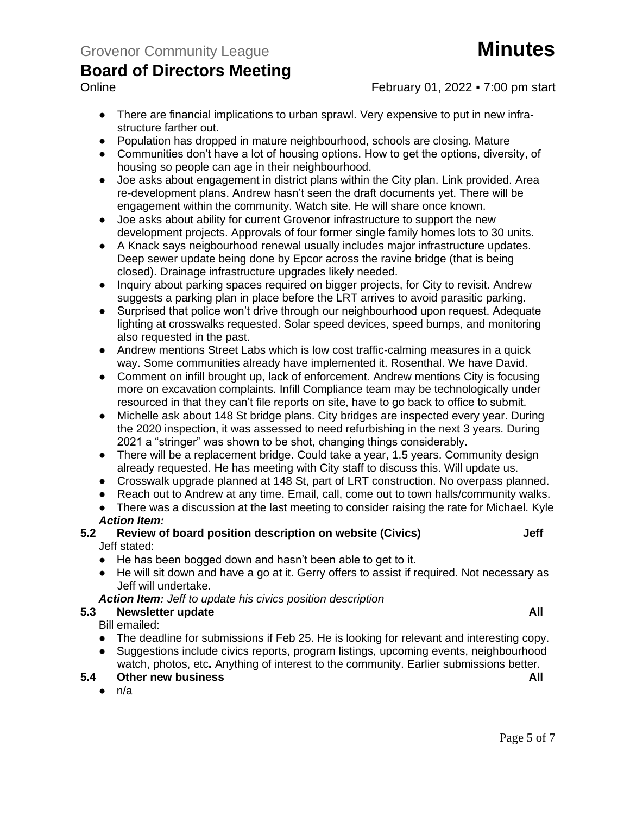

### Online **February 01, 2022 • 7:00 pm start**

- There are financial implications to urban sprawl. Very expensive to put in new infrastructure farther out.
- Population has dropped in mature neighbourhood, schools are closing. Mature
- Communities don't have a lot of housing options. How to get the options, diversity, of housing so people can age in their neighbourhood.
- Joe asks about engagement in district plans within the City plan. Link provided. Area re-development plans. Andrew hasn't seen the draft documents yet. There will be engagement within the community. Watch site. He will share once known.
- Joe asks about ability for current Grovenor infrastructure to support the new development projects. Approvals of four former single family homes lots to 30 units.
- A Knack says neigbourhood renewal usually includes major infrastructure updates. Deep sewer update being done by Epcor across the ravine bridge (that is being closed). Drainage infrastructure upgrades likely needed.
- Inquiry about parking spaces required on bigger projects, for City to revisit. Andrew suggests a parking plan in place before the LRT arrives to avoid parasitic parking.
- Surprised that police won't drive through our neighbourhood upon request. Adequate lighting at crosswalks requested. Solar speed devices, speed bumps, and monitoring also requested in the past.
- Andrew mentions Street Labs which is low cost traffic-calming measures in a quick way. Some communities already have implemented it. Rosenthal. We have David.
- Comment on infill brought up, lack of enforcement. Andrew mentions City is focusing more on excavation complaints. Infill Compliance team may be technologically under resourced in that they can't file reports on site, have to go back to office to submit.
- Michelle ask about 148 St bridge plans. City bridges are inspected every year. During the 2020 inspection, it was assessed to need refurbishing in the next 3 years. During 2021 a "stringer" was shown to be shot, changing things considerably.
- There will be a replacement bridge. Could take a year, 1.5 years. Community design already requested. He has meeting with City staff to discuss this. Will update us.
- Crosswalk upgrade planned at 148 St, part of LRT construction. No overpass planned.
- Reach out to Andrew at any time. Email, call, come out to town halls/community walks.
- There was a discussion at the last meeting to consider raising the rate for Michael. Kyle *Action Item:*

#### **5.2 Review of board position description on website (Civics) Jeff** Jeff stated:

- He has been bogged down and hasn't been able to get to it.
- He will sit down and have a go at it. Gerry offers to assist if required. Not necessary as Jeff will undertake.

*Action Item: Jeff to update his civics position description*

### **5.3 Newsletter update All**

Bill emailed:

- The deadline for submissions if Feb 25. He is looking for relevant and interesting copy. • Suggestions include civics reports, program listings, upcoming events, neighbourhood
- watch, photos, etc**.** Anything of interest to the community. Earlier submissions better. **5.4 Other new business All**
	- - $\bullet$  n/a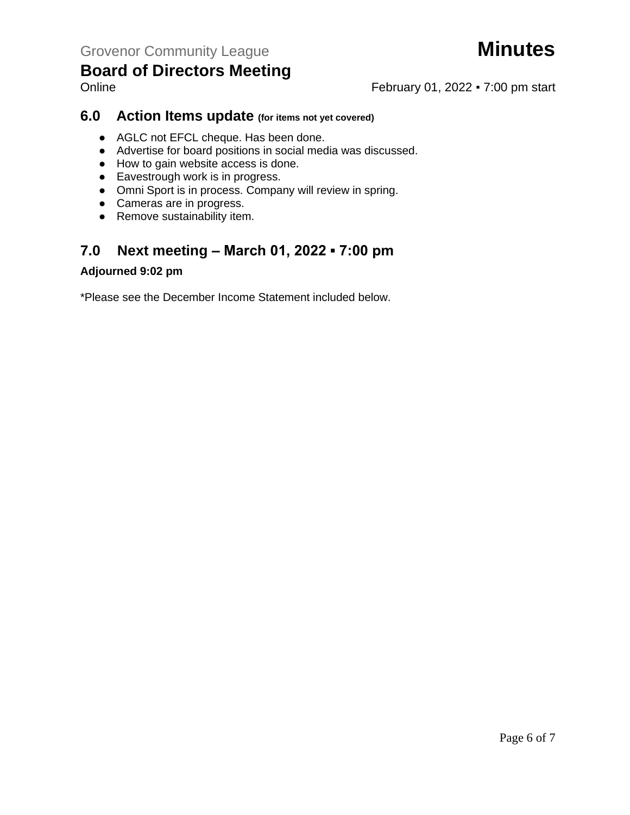

# Online **February 01, 2022 • 7:00 pm start**

# **6.0 Action Items update (for items not yet covered)**

- AGLC not EFCL cheque. Has been done.
- Advertise for board positions in social media was discussed.
- How to gain website access is done.
- Eavestrough work is in progress.
- Omni Sport is in process. Company will review in spring.
- Cameras are in progress.
- Remove sustainability item.

# **7.0 Next meeting – March 01, 2022 ▪ 7:00 pm**

## **Adjourned 9:02 pm**

\*Please see the December Income Statement included below.